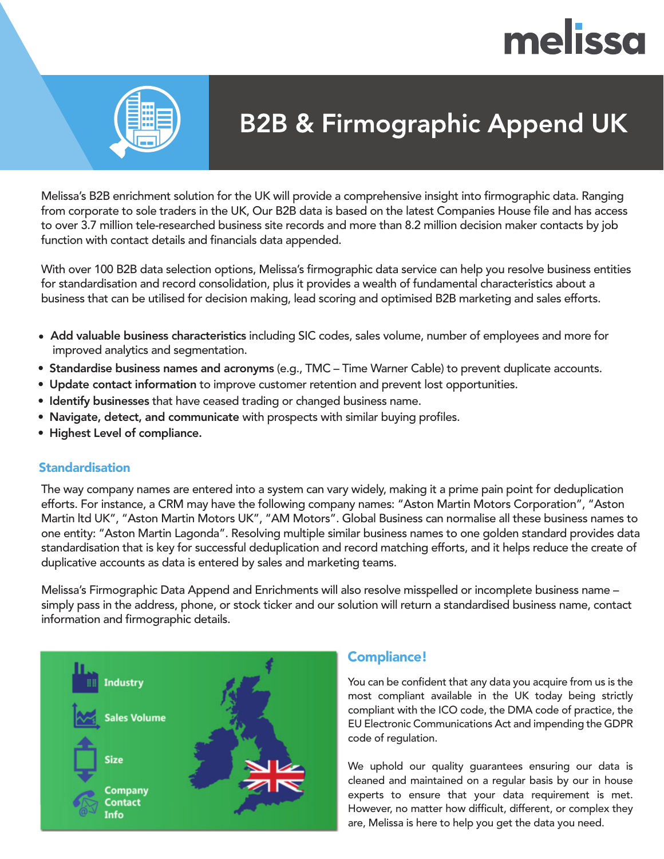# melissa



## **B2B & Firmographic Append UK**

Melissa's B2B enrichment solution for the UK will provide a comprehensive insight into firmographic data. Ranging from corporate to sole traders in the UK, Our B2B data is based on the latest Companies House file and has access to over 3.7 million tele-researched business site records and more than 8.2 million decision maker contacts by job function with contact details and financials data appended.

With over 100 B2B data selection options, Melissa's firmographic data service can help you resolve business entities for standardisation and record consolidation, plus it provides a wealth of fundamental characteristics about a business that can be utilised for decision making, lead scoring and optimised B2B marketing and sales efforts.

- improved analytics and segmentation. Add valuable business characteristics including SIC codes, sales volume, number of employees and more for
- Standardise business names and acronyms (e.g., TMC Time Warner Cable) to prevent duplicate accounts.
- Update contact information to improve customer retention and prevent lost opportunities.
- Identify businesses that have ceased trading or changed business name.
- Navigate, detect, and communicate with prospects with similar buying profiles.
- Highest Level of compliance.

### **Standardisation**

The way company names are entered into a system can vary widely, making it a prime pain point for deduplication efforts. For instance, a CRM may have the following company names: "Aston Martin Motors Corporation", "Aston Martin ltd UK", "Aston Martin Motors UK", "AM Motors". Global Business can normalise all these business names to one entity: "Aston Martin Lagonda". Resolving multiple similar business names to one golden standard provides data standardisation that is key for successful deduplication and record matching efforts, and it helps reduce the create of duplicative accounts as data is entered by sales and marketing teams.

Melissa's Firmographic Data Append and Enrichments will also resolve misspelled or incomplete business name – simply pass in the address, phone, or stock ticker and our solution will return a standardised business name, contact information and firmographic details.



## Compliance!

You can be confident that any data you acquire from us is the most compliant available in the UK today being strictly compliant with the ICO code, the DMA code of practice, the EU Electronic Communications Act and impending the GDPR code of regulation.

We uphold our quality guarantees ensuring our data is cleaned and maintained on a regular basis by our in house experts to ensure that your data requirement is met. However, no matter how difficult, different, or complex they are, Melissa is here to help you get the data you need.